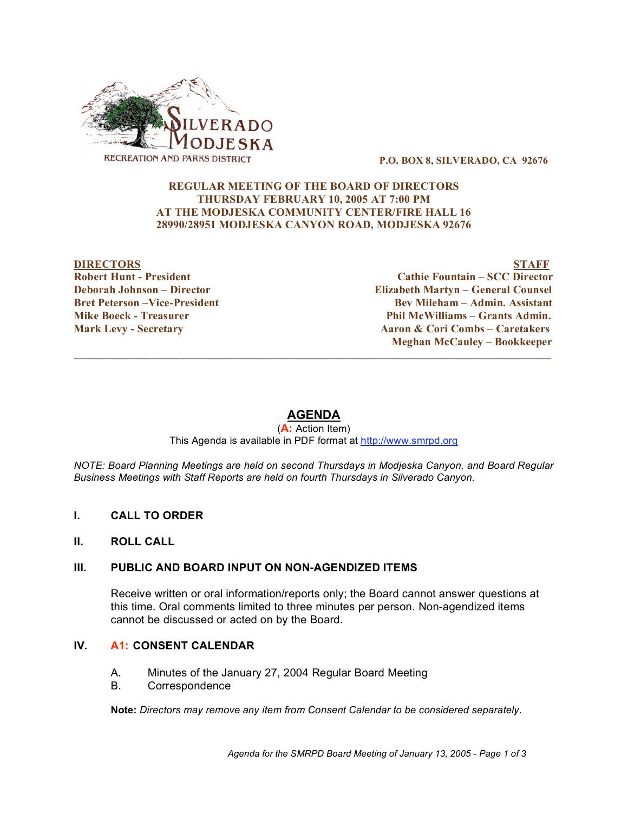

#### **P.O. BOX 8, SILVERADO, CA 92676**

## **REGULAR MEETING OF THE BOARD OF DIRECTORS THURSDAY FEBRUARY 10, 2005 AT 7:00 PM AT THE MODJESKA COMMUNITY CENTER/FIRE HALL 16 28990/28951 MODJESKA CANYON ROAD, MODJESKA 92676**

## **DIRECTORS STAFF Robert Hunt - President Cathie Fountain – SCC Director Deborah Johnson – Director Elizabeth Martyn – General Counsel Bret Peterson –Vice-President Bev Mileham – Admin. Assistant Mike Boeck - Treasurer Phil McWilliams – Grants Admin. Mark Levy - Secretary Aaron & Cori Combs – Caretakers Meghan McCauley – Bookkeeper**

# **AGENDA**

 $\overline{\phantom{a}}$  ,  $\overline{\phantom{a}}$  ,  $\overline{\phantom{a}}$  ,  $\overline{\phantom{a}}$  ,  $\overline{\phantom{a}}$  ,  $\overline{\phantom{a}}$  ,  $\overline{\phantom{a}}$  ,  $\overline{\phantom{a}}$  ,  $\overline{\phantom{a}}$  ,  $\overline{\phantom{a}}$  ,  $\overline{\phantom{a}}$  ,  $\overline{\phantom{a}}$  ,  $\overline{\phantom{a}}$  ,  $\overline{\phantom{a}}$  ,  $\overline{\phantom{a}}$  ,  $\overline{\phantom{a}}$ 

(**A:** Action Item) This Agenda is available in PDF format at http://www.smrpd.org

*NOTE: Board Planning Meetings are held on second Thursdays in Modjeska Canyon, and Board Regular Business Meetings with Staff Reports are held on fourth Thursdays in Silverado Canyon.*

- **I. CALL TO ORDER**
- **II. ROLL CALL**

### **III. PUBLIC AND BOARD INPUT ON NON-AGENDIZED ITEMS**

Receive written or oral information/reports only; the Board cannot answer questions at this time. Oral comments limited to three minutes per person. Non-agendized items cannot be discussed or acted on by the Board.

## **IV. A1: CONSENT CALENDAR**

- A. Minutes of the January 27, 2004 Regular Board Meeting
- B. Correspondence

**Note:** *Directors may remove any item from Consent Calendar to be considered separately.*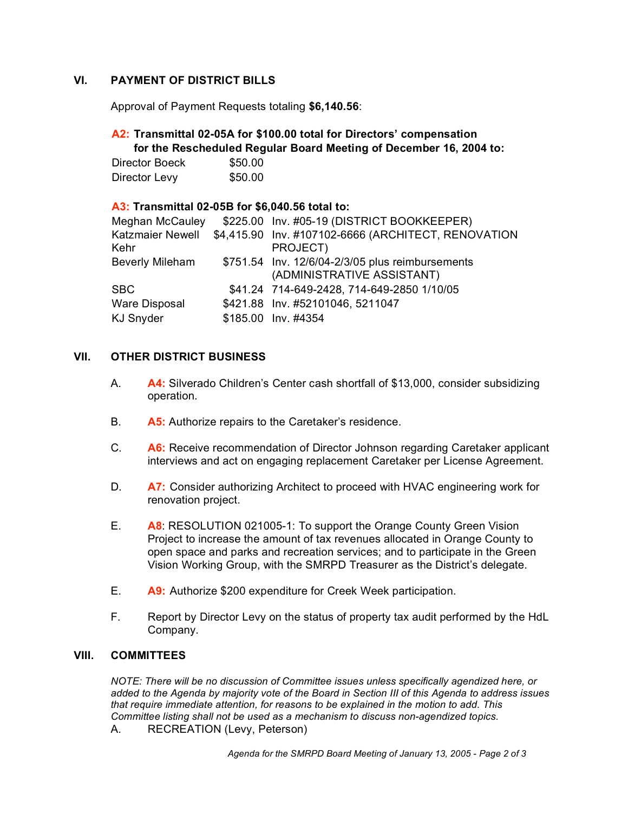## **VI. PAYMENT OF DISTRICT BILLS**

Approval of Payment Requests totaling **\$6,140.56**:

## **A2: Transmittal 02-05A for \$100.00 total for Directors' compensation for the Rescheduled Regular Board Meeting of December 16, 2004 to:**

Director Boeck \$50.00 Director Levy \$50.00

## **A3: Transmittal 02-05B for \$6,040.56 total to:**

| Meghan McCauley          | \$225.00 Inv. #05-19 (DISTRICT BOOKKEEPER)                                     |
|--------------------------|--------------------------------------------------------------------------------|
| Katzmaier Newell<br>Kehr | \$4,415.90 Inv. #107102-6666 (ARCHITECT, RENOVATION<br>PROJECT)                |
| <b>Beverly Mileham</b>   | \$751.54 Inv. 12/6/04-2/3/05 plus reimbursements<br>(ADMINISTRATIVE ASSISTANT) |
| $_{\rm SBC}$             | \$41.24 714-649-2428, 714-649-2850 1/10/05                                     |
| Ware Disposal            | \$421.88 Inv. #52101046, 5211047                                               |
| KJ Snyder                | \$185.00 Inv. #4354                                                            |
|                          |                                                                                |

## **VII. OTHER DISTRICT BUSINESS**

- A. **A4:** Silverado Children's Center cash shortfall of \$13,000, consider subsidizing operation.
- B. **A5:** Authorize repairs to the Caretaker's residence.
- C. **A6:** Receive recommendation of Director Johnson regarding Caretaker applicant interviews and act on engaging replacement Caretaker per License Agreement.
- D. **A7:** Consider authorizing Architect to proceed with HVAC engineering work for renovation project.
- E. **A8**: RESOLUTION 021005-1: To support the Orange County Green Vision Project to increase the amount of tax revenues allocated in Orange County to open space and parks and recreation services; and to participate in the Green Vision Working Group, with the SMRPD Treasurer as the District's delegate.
- E. **A9:** Authorize \$200 expenditure for Creek Week participation.
- F. Report by Director Levy on the status of property tax audit performed by the HdL Company.

## **VIII. COMMITTEES**

*NOTE: There will be no discussion of Committee issues unless specifically agendized here, or* added to the Agenda by majority vote of the Board in Section III of this Agenda to address issues *that require immediate attention, for reasons to be explained in the motion to add. This Committee listing shall not be used as a mechanism to discuss non-agendized topics.*

A. RECREATION (Levy, Peterson)